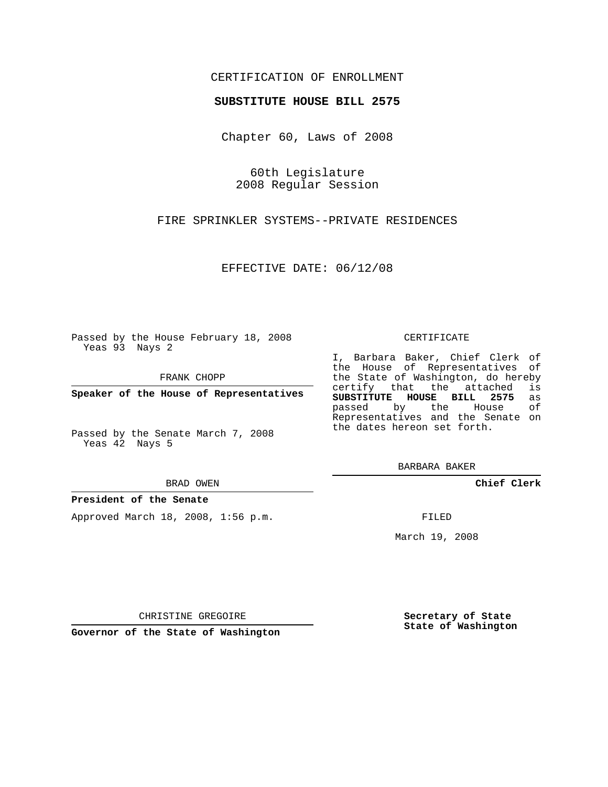## CERTIFICATION OF ENROLLMENT

### **SUBSTITUTE HOUSE BILL 2575**

Chapter 60, Laws of 2008

60th Legislature 2008 Regular Session

FIRE SPRINKLER SYSTEMS--PRIVATE RESIDENCES

EFFECTIVE DATE: 06/12/08

Passed by the House February 18, 2008 Yeas 93 Nays 2

FRANK CHOPP

**Speaker of the House of Representatives**

Passed by the Senate March 7, 2008 Yeas 42 Nays 5

#### BRAD OWEN

#### **President of the Senate**

Approved March 18, 2008, 1:56 p.m.

#### CERTIFICATE

I, Barbara Baker, Chief Clerk of the House of Representatives of the State of Washington, do hereby<br>certify that the attached is certify that the attached **SUBSTITUTE HOUSE BILL 2575** as passed by the House Representatives and the Senate on the dates hereon set forth.

BARBARA BAKER

**Chief Clerk**

FILED

March 19, 2008

CHRISTINE GREGOIRE

**Governor of the State of Washington**

**Secretary of State State of Washington**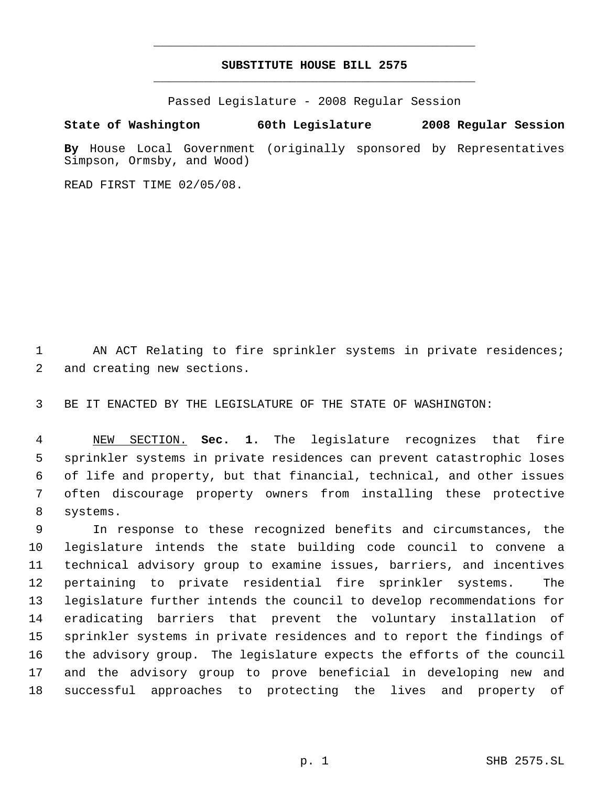# **SUBSTITUTE HOUSE BILL 2575** \_\_\_\_\_\_\_\_\_\_\_\_\_\_\_\_\_\_\_\_\_\_\_\_\_\_\_\_\_\_\_\_\_\_\_\_\_\_\_\_\_\_\_\_\_

\_\_\_\_\_\_\_\_\_\_\_\_\_\_\_\_\_\_\_\_\_\_\_\_\_\_\_\_\_\_\_\_\_\_\_\_\_\_\_\_\_\_\_\_\_

Passed Legislature - 2008 Regular Session

**State of Washington 60th Legislature 2008 Regular Session By** House Local Government (originally sponsored by Representatives Simpson, Ormsby, and Wood)

READ FIRST TIME 02/05/08.

 AN ACT Relating to fire sprinkler systems in private residences; and creating new sections.

BE IT ENACTED BY THE LEGISLATURE OF THE STATE OF WASHINGTON:

 NEW SECTION. **Sec. 1.** The legislature recognizes that fire sprinkler systems in private residences can prevent catastrophic loses of life and property, but that financial, technical, and other issues often discourage property owners from installing these protective systems.

 In response to these recognized benefits and circumstances, the legislature intends the state building code council to convene a technical advisory group to examine issues, barriers, and incentives pertaining to private residential fire sprinkler systems. The legislature further intends the council to develop recommendations for eradicating barriers that prevent the voluntary installation of sprinkler systems in private residences and to report the findings of the advisory group. The legislature expects the efforts of the council and the advisory group to prove beneficial in developing new and successful approaches to protecting the lives and property of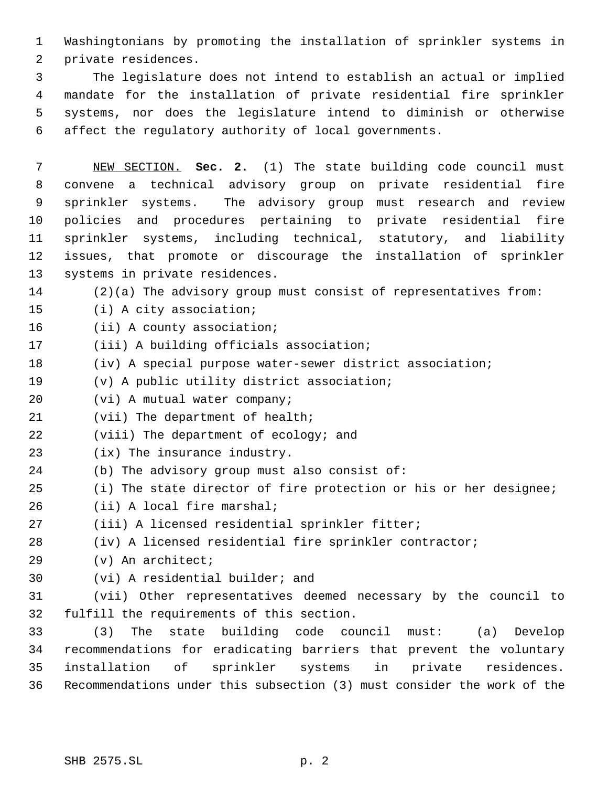Washingtonians by promoting the installation of sprinkler systems in private residences.

 The legislature does not intend to establish an actual or implied mandate for the installation of private residential fire sprinkler systems, nor does the legislature intend to diminish or otherwise affect the regulatory authority of local governments.

 NEW SECTION. **Sec. 2.** (1) The state building code council must convene a technical advisory group on private residential fire sprinkler systems. The advisory group must research and review policies and procedures pertaining to private residential fire sprinkler systems, including technical, statutory, and liability issues, that promote or discourage the installation of sprinkler systems in private residences.

- (2)(a) The advisory group must consist of representatives from:
- (i) A city association;
- (ii) A county association;
- (iii) A building officials association;
- (iv) A special purpose water-sewer district association;
- (v) A public utility district association;
- (vi) A mutual water company;
- 21 (vii) The department of health;
- (viii) The department of ecology; and
- (ix) The insurance industry.
- (b) The advisory group must also consist of:
- (i) The state director of fire protection or his or her designee;
- (ii) A local fire marshal;
- (iii) A licensed residential sprinkler fitter;
- (iv) A licensed residential fire sprinkler contractor;
- (v) An architect;
- (vi) A residential builder; and
- (vii) Other representatives deemed necessary by the council to fulfill the requirements of this section.

 (3) The state building code council must: (a) Develop recommendations for eradicating barriers that prevent the voluntary installation of sprinkler systems in private residences. Recommendations under this subsection (3) must consider the work of the